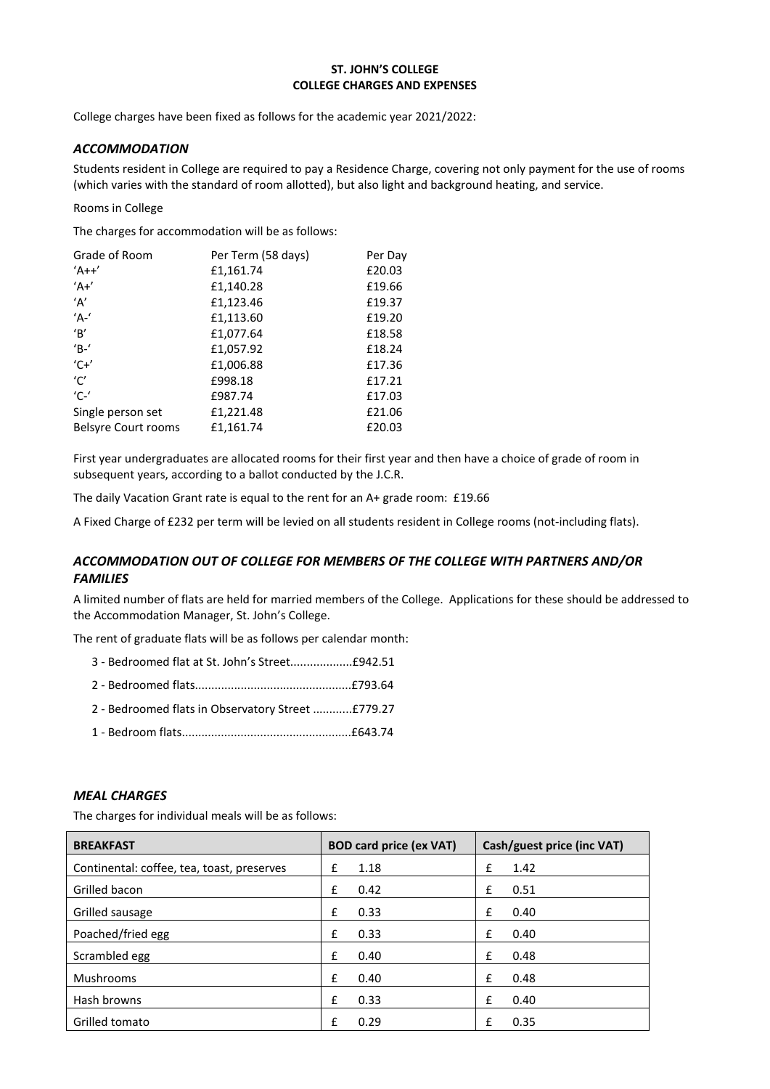#### **ST. JOHN'S COLLEGE COLLEGE CHARGES AND EXPENSES**

College charges have been fixed as follows for the academic year 2021/2022:

#### *ACCOMMODATION*

Students resident in College are required to pay a Residence Charge, covering not only payment for the use of rooms (which varies with the standard of room allotted), but also light and background heating, and service.

#### Rooms in College

The charges for accommodation will be as follows:

| Grade of Room              | Per Term (58 days) | Per Day |
|----------------------------|--------------------|---------|
| $'A++'$                    | £1,161.74          | £20.03  |
| $A^+$                      | £1,140.28          | £19.66  |
| 'A'                        | £1,123.46          | £19.37  |
| $'A^{-1}$                  | £1,113.60          | £19.20  |
| $\mathbf{B}'$              | £1,077.64          | £18.58  |
| $^{\prime}$ B- $^{\prime}$ | £1,057.92          | £18.24  |
| $C + C$                    | £1,006.88          | £17.36  |
| 'C'                        | £998.18            | £17.21  |
| $'C$ -'                    | £987.74            | £17.03  |
| Single person set          | £1,221.48          | £21.06  |
| <b>Belsyre Court rooms</b> | £1,161.74          | £20.03  |

First year undergraduates are allocated rooms for their first year and then have a choice of grade of room in subsequent years, according to a ballot conducted by the J.C.R.

The daily Vacation Grant rate is equal to the rent for an A+ grade room: £19.66

A Fixed Charge of £232 per term will be levied on all students resident in College rooms (not-including flats).

# *ACCOMMODATION OUT OF COLLEGE FOR MEMBERS OF THE COLLEGE WITH PARTNERS AND/OR FAMILIES*

A limited number of flats are held for married members of the College. Applications for these should be addressed to the Accommodation Manager, St. John's College.

The rent of graduate flats will be as follows per calendar month:

| 3 - Bedroomed flat at St. John's Street£942.51 |
|------------------------------------------------|
|------------------------------------------------|

- 2 Bedroomed flats................................................£793.64
- 2 Bedroomed flats in Observatory Street ............£779.27
- 1 Bedroom flats....................................................£643.74

#### *MEAL CHARGES*

The charges for individual meals will be as follows:

| <b>BREAKFAST</b>                           | <b>BOD card price (ex VAT)</b> | Cash/guest price (inc VAT) |
|--------------------------------------------|--------------------------------|----------------------------|
| Continental: coffee, tea, toast, preserves | 1.18<br>£                      | £<br>1.42                  |
| Grilled bacon                              | £<br>0.42                      | £<br>0.51                  |
| Grilled sausage                            | 0.33<br>£                      | £<br>0.40                  |
| Poached/fried egg                          | 0.33<br>£                      | £<br>0.40                  |
| Scrambled egg                              | £<br>0.40                      | £<br>0.48                  |
| <b>Mushrooms</b>                           | £<br>0.40                      | £<br>0.48                  |
| Hash browns                                | £<br>0.33                      | £<br>0.40                  |
| Grilled tomato                             | f<br>0.29                      | f<br>0.35                  |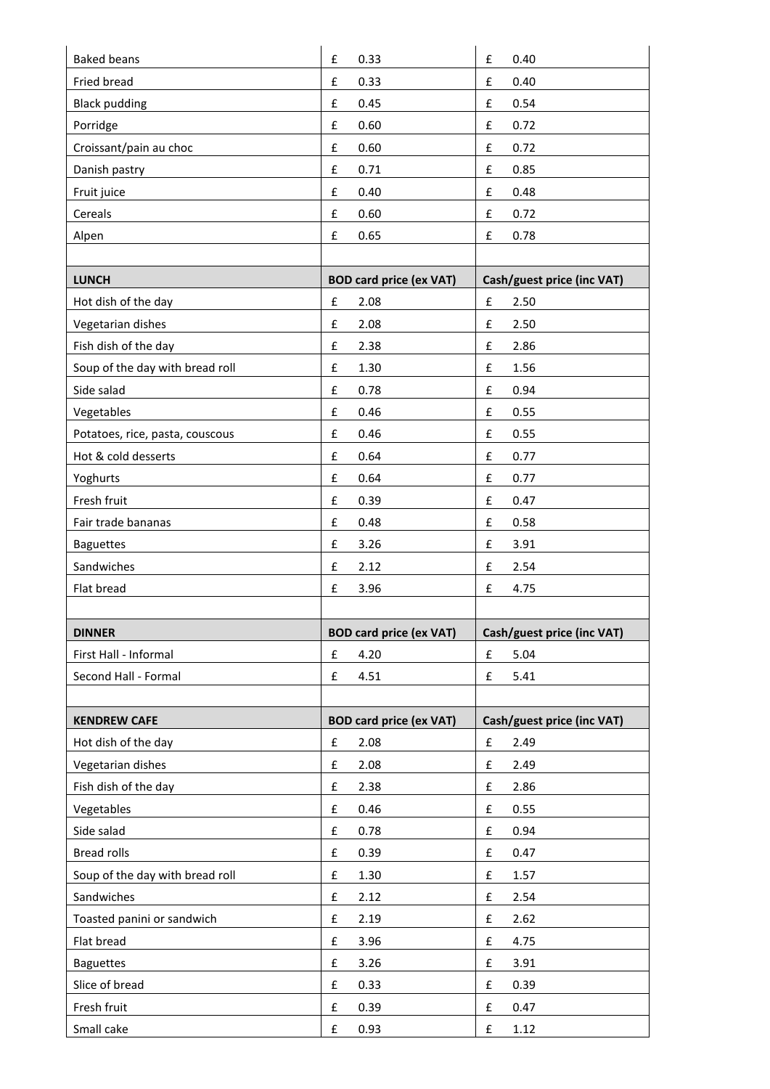| <b>Baked beans</b>              | $\pmb{\mathsf{f}}$<br>0.33     | $\pmb{\mathsf{f}}$<br>0.40 |
|---------------------------------|--------------------------------|----------------------------|
| Fried bread                     | £<br>0.33                      | £<br>0.40                  |
| <b>Black pudding</b>            | $\pmb{\mathsf{f}}$<br>0.45     | £<br>0.54                  |
| Porridge                        | £<br>0.60                      | £<br>0.72                  |
| Croissant/pain au choc          | £<br>0.60                      | £<br>0.72                  |
| Danish pastry                   | £<br>0.71                      | £<br>0.85                  |
| Fruit juice                     | £<br>0.40                      | £<br>0.48                  |
| Cereals                         | £<br>0.60                      | £<br>0.72                  |
| Alpen                           | £<br>0.65                      | £<br>0.78                  |
|                                 |                                |                            |
| <b>LUNCH</b>                    | <b>BOD card price (ex VAT)</b> | Cash/guest price (inc VAT) |
| Hot dish of the day             | $\pmb{\mathsf{f}}$<br>2.08     | £<br>2.50                  |
| Vegetarian dishes               | £<br>2.08                      | £<br>2.50                  |
| Fish dish of the day            | £<br>2.38                      | £<br>2.86                  |
| Soup of the day with bread roll | £<br>1.30                      | £<br>1.56                  |
| Side salad                      | £<br>0.78                      | £<br>0.94                  |
| Vegetables                      | £<br>0.46                      | £<br>0.55                  |
| Potatoes, rice, pasta, couscous | £<br>0.46                      | £<br>0.55                  |
| Hot & cold desserts             | $\pmb{\mathsf{f}}$<br>0.64     | £<br>0.77                  |
| Yoghurts                        | £<br>0.64                      | £<br>0.77                  |
| Fresh fruit                     | £<br>0.39                      | £<br>0.47                  |
| Fair trade bananas              | £<br>0.48                      | £<br>0.58                  |
| <b>Baguettes</b>                | £<br>3.26                      | £<br>3.91                  |
| Sandwiches                      | 2.12<br>£                      | £<br>2.54                  |
| Flat bread                      | £<br>3.96                      | £<br>4.75                  |
| <b>DINNER</b>                   | <b>BOD card price (ex VAT)</b> | Cash/guest price (inc VAT) |
| First Hall - Informal           | $\pmb{\mathsf{f}}$<br>4.20     | £<br>5.04                  |
| Second Hall - Formal            | 4.51<br>£                      | 5.41<br>£                  |
|                                 |                                |                            |
| <b>KENDREW CAFE</b>             | <b>BOD card price (ex VAT)</b> | Cash/guest price (inc VAT) |
| Hot dish of the day             | $\pmb{\mathsf{f}}$<br>2.08     | $\pmb{\mathsf{f}}$<br>2.49 |
| Vegetarian dishes               | $\pmb{\mathsf{f}}$<br>2.08     | £<br>2.49                  |
| Fish dish of the day            | $\pmb{\mathsf{f}}$<br>2.38     | £<br>2.86                  |
| Vegetables                      | $\pmb{\mathsf{f}}$<br>0.46     | 0.55<br>£                  |
| Side salad                      | £<br>0.78                      | £<br>0.94                  |
| <b>Bread rolls</b>              | $\pmb{\mathsf{f}}$<br>0.39     | £<br>0.47                  |
| Soup of the day with bread roll | $\pmb{\mathsf{f}}$<br>1.30     | $\pmb{\mathsf{f}}$<br>1.57 |
| Sandwiches                      | £<br>2.12                      | £<br>2.54                  |
| Toasted panini or sandwich      | $\pmb{\mathsf{f}}$<br>2.19     | £<br>2.62                  |
| Flat bread                      | 3.96<br>£                      | 4.75<br>£                  |
|                                 |                                | 3.91<br>£                  |
| <b>Baguettes</b>                | 3.26<br>£                      |                            |
| Slice of bread                  | £<br>0.33                      | £<br>0.39                  |
| Fresh fruit                     | $\pmb{\mathsf{f}}$<br>0.39     | £<br>0.47                  |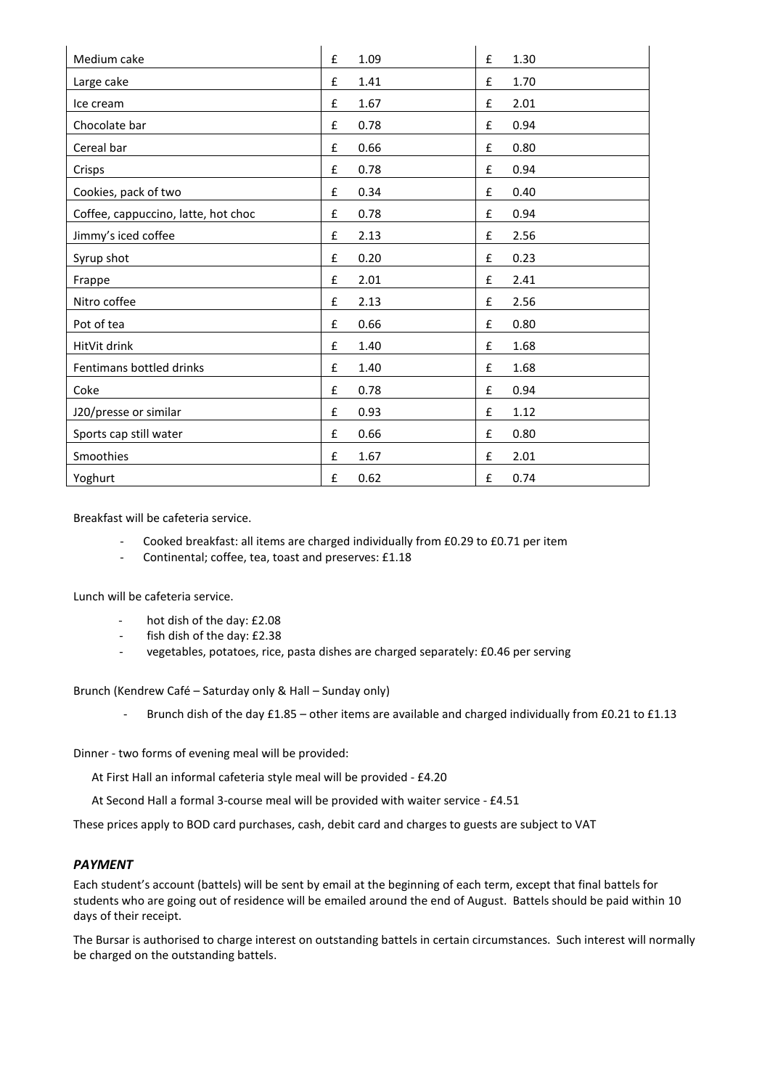| Medium cake                         | £<br>1.09 | 1.30<br>£ |
|-------------------------------------|-----------|-----------|
| Large cake                          | £<br>1.41 | £<br>1.70 |
| Ice cream                           | 1.67<br>£ | £<br>2.01 |
| Chocolate bar                       | £<br>0.78 | £<br>0.94 |
| Cereal bar                          | £<br>0.66 | 0.80<br>£ |
| Crisps                              | 0.78<br>£ | £<br>0.94 |
| Cookies, pack of two                | £<br>0.34 | 0.40<br>£ |
| Coffee, cappuccino, latte, hot choc | £<br>0.78 | £<br>0.94 |
| Jimmy's iced coffee                 | £<br>2.13 | 2.56<br>£ |
| Syrup shot                          | 0.20<br>£ | 0.23<br>£ |
| Frappe                              | £<br>2.01 | 2.41<br>£ |
| Nitro coffee                        | £<br>2.13 | 2.56<br>£ |
| Pot of tea                          | £<br>0.66 | £<br>0.80 |
| HitVit drink                        | £<br>1.40 | 1.68<br>£ |
| Fentimans bottled drinks            | £<br>1.40 | £<br>1.68 |
| Coke                                | £<br>0.78 | £<br>0.94 |
| J20/presse or similar               | £<br>0.93 | £<br>1.12 |
| Sports cap still water              | £<br>0.66 | 0.80<br>£ |
| Smoothies                           | £<br>1.67 | £<br>2.01 |
| Yoghurt                             | £<br>0.62 | £<br>0.74 |

Breakfast will be cafeteria service.

- Cooked breakfast: all items are charged individually from £0.29 to £0.71 per item
- Continental; coffee, tea, toast and preserves: £1.18

Lunch will be cafeteria service.

- hot dish of the day: £2.08
- fish dish of the day: £2.38
- vegetables, potatoes, rice, pasta dishes are charged separately: £0.46 per serving

Brunch (Kendrew Café – Saturday only & Hall – Sunday only)

- Brunch dish of the day £1.85 – other items are available and charged individually from £0.21 to £1.13

Dinner - two forms of evening meal will be provided:

At First Hall an informal cafeteria style meal will be provided - £4.20

At Second Hall a formal 3-course meal will be provided with waiter service - £4.51

These prices apply to BOD card purchases, cash, debit card and charges to guests are subject to VAT

#### *PAYMENT*

Each student's account (battels) will be sent by email at the beginning of each term, except that final battels for students who are going out of residence will be emailed around the end of August. Battels should be paid within 10 days of their receipt.

The Bursar is authorised to charge interest on outstanding battels in certain circumstances. Such interest will normally be charged on the outstanding battels.